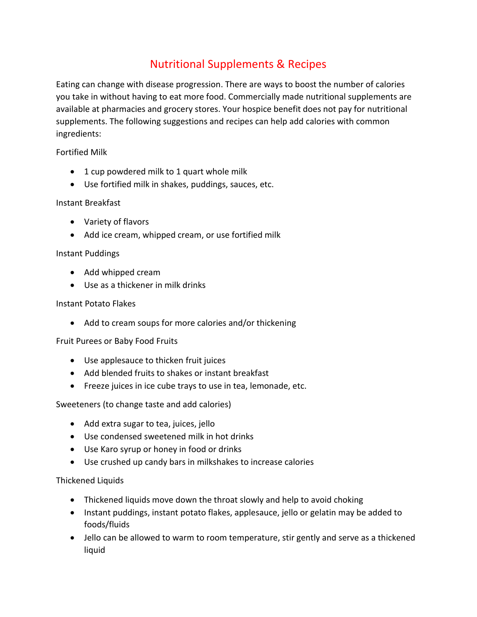# Nutritional Supplements & Recipes

Eating can change with disease progression. There are ways to boost the number of calories you take in without having to eat more food. Commercially made nutritional supplements are available at pharmacies and grocery stores. Your hospice benefit does not pay for nutritional supplements. The following suggestions and recipes can help add calories with common ingredients:

Fortified Milk

- 1 cup powdered milk to 1 quart whole milk
- Use fortified milk in shakes, puddings, sauces, etc.

# Instant Breakfast

- Variety of flavors
- Add ice cream, whipped cream, or use fortified milk

# Instant Puddings

- Add whipped cream
- Use as a thickener in milk drinks

# Instant Potato Flakes

• Add to cream soups for more calories and/or thickening

# Fruit Purees or Baby Food Fruits

- Use applesauce to thicken fruit juices
- Add blended fruits to shakes or instant breakfast
- Freeze juices in ice cube trays to use in tea, lemonade, etc.

Sweeteners (to change taste and add calories)

- Add extra sugar to tea, juices, jello
- Use condensed sweetened milk in hot drinks
- Use Karo syrup or honey in food or drinks
- Use crushed up candy bars in milkshakes to increase calories

# Thickened Liquids

- Thickened liquids move down the throat slowly and help to avoid choking
- Instant puddings, instant potato flakes, applesauce, jello or gelatin may be added to foods/fluids
- Jello can be allowed to warm to room temperature, stir gently and serve as a thickened liquid